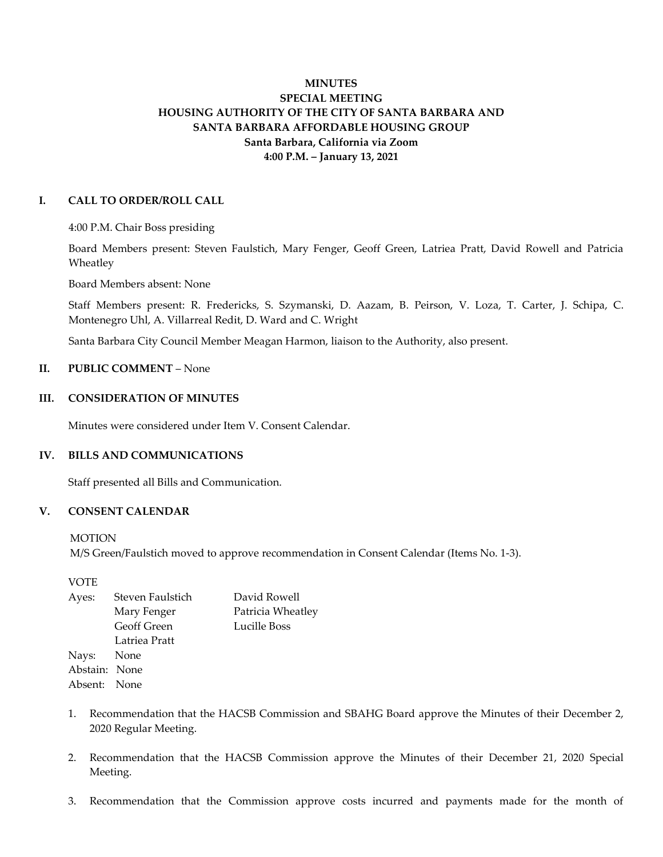# **MINUTES SPECIAL MEETING HOUSING AUTHORITY OF THE CITY OF SANTA BARBARA AND SANTA BARBARA AFFORDABLE HOUSING GROUP Santa Barbara, California via Zoom 4:00 P.M. – January 13, 2021**

### **I. CALL TO ORDER/ROLL CALL**

4:00 P.M. Chair Boss presiding

Board Members present: Steven Faulstich, Mary Fenger, Geoff Green, Latriea Pratt, David Rowell and Patricia Wheatley

Board Members absent: None

Staff Members present: R. Fredericks, S. Szymanski, D. Aazam, B. Peirson, V. Loza, T. Carter, J. Schipa, C. Montenegro Uhl, A. Villarreal Redit, D. Ward and C. Wright

Santa Barbara City Council Member Meagan Harmon, liaison to the Authority, also present.

## **II. PUBLIC COMMENT** – None

### **III. CONSIDERATION OF MINUTES**

Minutes were considered under Item V. Consent Calendar.

### **IV. BILLS AND COMMUNICATIONS**

Staff presented all Bills and Communication.

## **V. CONSENT CALENDAR**

**MOTION** 

M/S Green/Faulstich moved to approve recommendation in Consent Calendar (Items No. 1-3).

VOTE

| Ayes:         | Steven Faulstich | David Rowell      |
|---------------|------------------|-------------------|
|               | Mary Fenger      | Patricia Wheatley |
|               | Geoff Green      | Lucille Boss      |
|               | Latriea Pratt    |                   |
| Nays: None    |                  |                   |
| Abstain: None |                  |                   |
| Absent: None  |                  |                   |
|               |                  |                   |

- 1. Recommendation that the HACSB Commission and SBAHG Board approve the Minutes of their December 2, 2020 Regular Meeting.
- 2. Recommendation that the HACSB Commission approve the Minutes of their December 21, 2020 Special Meeting.
- 3. Recommendation that the Commission approve costs incurred and payments made for the month of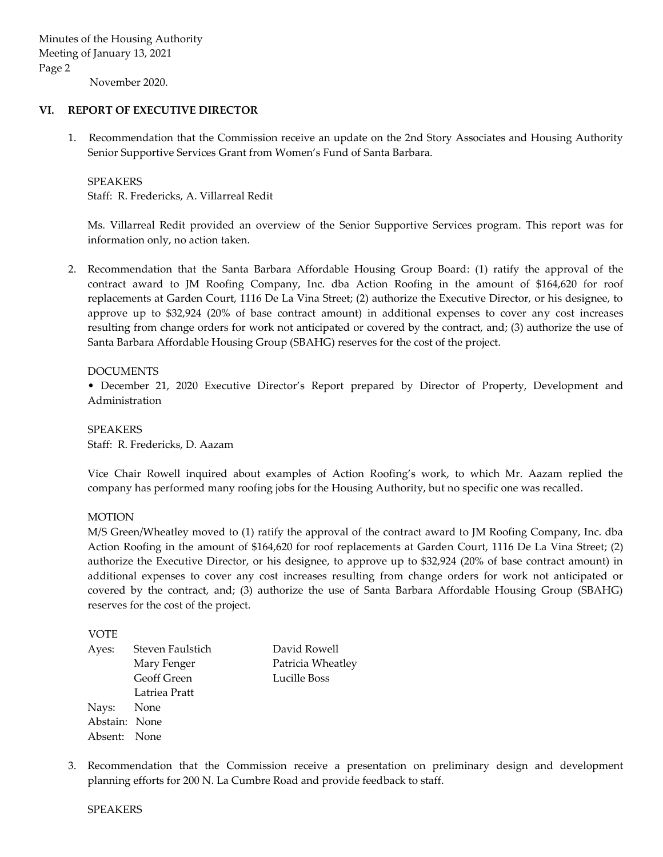November 2020.

### **VI. REPORT OF EXECUTIVE DIRECTOR**

1. Recommendation that the Commission receive an update on the 2nd Story Associates and Housing Authority Senior Supportive Services Grant from Women's Fund of Santa Barbara.

### SPEAKERS

Staff: R. Fredericks, A. Villarreal Redit

Ms. Villarreal Redit provided an overview of the Senior Supportive Services program. This report was for information only, no action taken.

2. Recommendation that the Santa Barbara Affordable Housing Group Board: (1) ratify the approval of the contract award to JM Roofing Company, Inc. dba Action Roofing in the amount of \$164,620 for roof replacements at Garden Court, 1116 De La Vina Street; (2) authorize the Executive Director, or his designee, to approve up to \$32,924 (20% of base contract amount) in additional expenses to cover any cost increases resulting from change orders for work not anticipated or covered by the contract, and; (3) authorize the use of Santa Barbara Affordable Housing Group (SBAHG) reserves for the cost of the project.

### DOCUMENTS

• December 21, 2020 Executive Director's Report prepared by Director of Property, Development and Administration

SPEAKERS Staff: R. Fredericks, D. Aazam

Vice Chair Rowell inquired about examples of Action Roofing's work, to which Mr. Aazam replied the company has performed many roofing jobs for the Housing Authority, but no specific one was recalled.

### **MOTION**

M/S Green/Wheatley moved to (1) ratify the approval of the contract award to JM Roofing Company, Inc. dba Action Roofing in the amount of \$164,620 for roof replacements at Garden Court, 1116 De La Vina Street; (2) authorize the Executive Director, or his designee, to approve up to \$32,924 (20% of base contract amount) in additional expenses to cover any cost increases resulting from change orders for work not anticipated or covered by the contract, and; (3) authorize the use of Santa Barbara Affordable Housing Group (SBAHG) reserves for the cost of the project.

VOTE

| Steven Faulstich   | David Rowell                                |
|--------------------|---------------------------------------------|
| Mary Fenger        | Patricia Wheatley                           |
| <b>Geoff Green</b> | Lucille Boss                                |
| Latriea Pratt      |                                             |
|                    |                                             |
|                    |                                             |
|                    |                                             |
|                    | Nays: None<br>Abstain: None<br>Absent: None |

3. Recommendation that the Commission receive a presentation on preliminary design and development planning efforts for 200 N. La Cumbre Road and provide feedback to staff.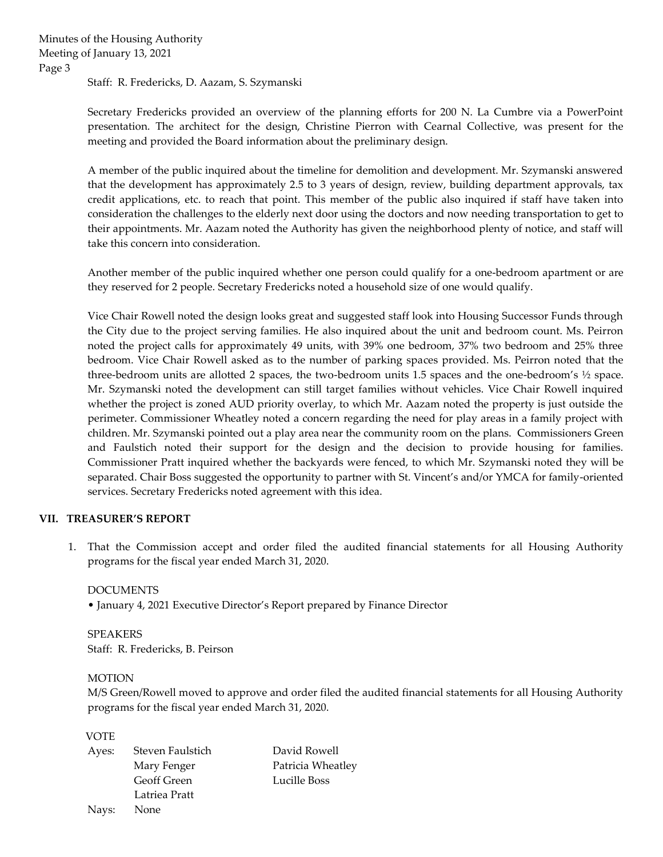Staff: R. Fredericks, D. Aazam, S. Szymanski

Secretary Fredericks provided an overview of the planning efforts for 200 N. La Cumbre via a PowerPoint presentation. The architect for the design, Christine Pierron with Cearnal Collective, was present for the meeting and provided the Board information about the preliminary design.

A member of the public inquired about the timeline for demolition and development. Mr. Szymanski answered that the development has approximately 2.5 to 3 years of design, review, building department approvals, tax credit applications, etc. to reach that point. This member of the public also inquired if staff have taken into consideration the challenges to the elderly next door using the doctors and now needing transportation to get to their appointments. Mr. Aazam noted the Authority has given the neighborhood plenty of notice, and staff will take this concern into consideration.

Another member of the public inquired whether one person could qualify for a one-bedroom apartment or are they reserved for 2 people. Secretary Fredericks noted a household size of one would qualify.

Vice Chair Rowell noted the design looks great and suggested staff look into Housing Successor Funds through the City due to the project serving families. He also inquired about the unit and bedroom count. Ms. Peirron noted the project calls for approximately 49 units, with 39% one bedroom, 37% two bedroom and 25% three bedroom. Vice Chair Rowell asked as to the number of parking spaces provided. Ms. Peirron noted that the three-bedroom units are allotted 2 spaces, the two-bedroom units 1.5 spaces and the one-bedroom's ½ space. Mr. Szymanski noted the development can still target families without vehicles. Vice Chair Rowell inquired whether the project is zoned AUD priority overlay, to which Mr. Aazam noted the property is just outside the perimeter. Commissioner Wheatley noted a concern regarding the need for play areas in a family project with children. Mr. Szymanski pointed out a play area near the community room on the plans. Commissioners Green and Faulstich noted their support for the design and the decision to provide housing for families. Commissioner Pratt inquired whether the backyards were fenced, to which Mr. Szymanski noted they will be separated. Chair Boss suggested the opportunity to partner with St. Vincent's and/or YMCA for family-oriented services. Secretary Fredericks noted agreement with this idea.

### **VII. TREASURER'S REPORT**

1. That the Commission accept and order filed the audited financial statements for all Housing Authority programs for the fiscal year ended March 31, 2020.

DOCUMENTS

• January 4, 2021 Executive Director's Report prepared by Finance Director

SPEAKERS Staff: R. Fredericks, B. Peirson

#### MOTION

M/S Green/Rowell moved to approve and order filed the audited financial statements for all Housing Authority programs for the fiscal year ended March 31, 2020.

VOTE

| Ayes: | Steven Faulstich | David Rowell      |
|-------|------------------|-------------------|
|       | Mary Fenger      | Patricia Wheatley |
|       | Geoff Green      | Lucille Boss      |
|       | Latriea Pratt    |                   |
| Navs: | None             |                   |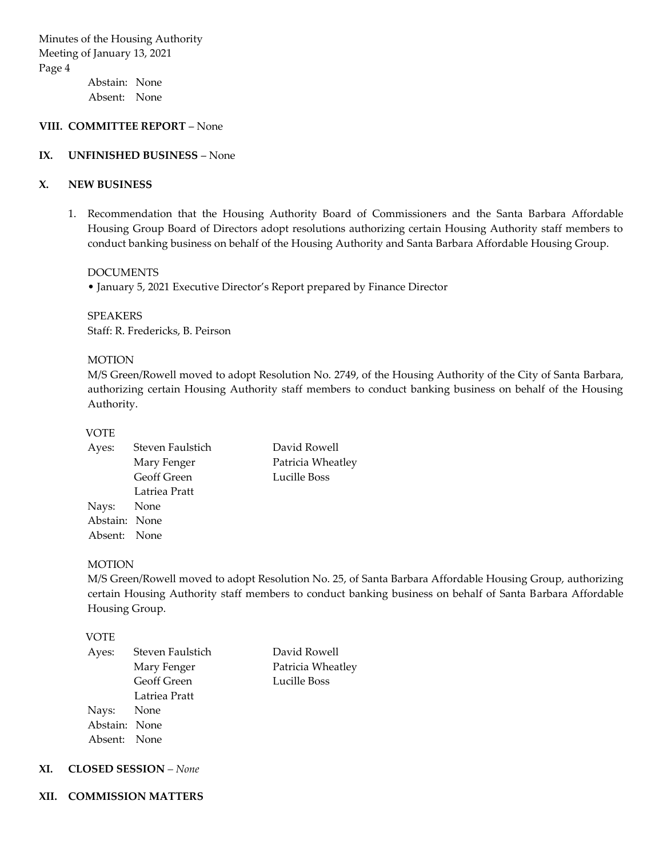Minutes of the Housing Authority Meeting of January 13, 2021 Page 4

Abstain: None Absent: None

### **VIII. COMMITTEE REPORT** – None

### **IX. UNFINISHED BUSINESS** – None

## **X. NEW BUSINESS**

1. Recommendation that the Housing Authority Board of Commissioners and the Santa Barbara Affordable Housing Group Board of Directors adopt resolutions authorizing certain Housing Authority staff members to conduct banking business on behalf of the Housing Authority and Santa Barbara Affordable Housing Group.

DOCUMENTS

• January 5, 2021 Executive Director's Report prepared by Finance Director

SPEAKERS Staff: R. Fredericks, B. Peirson

#### MOTION

M/S Green/Rowell moved to adopt Resolution No. 2749, of the Housing Authority of the City of Santa Barbara, authorizing certain Housing Authority staff members to conduct banking business on behalf of the Housing Authority.

> Patricia Wheatley Lucille Boss

#### VOTE

| Ayes:         | Steven Faulstich   | David Rowell  |
|---------------|--------------------|---------------|
|               | Mary Fenger        | Patricia Whea |
|               | <b>Geoff Green</b> | Lucille Boss  |
|               | Latriea Pratt      |               |
| Nays: None    |                    |               |
| Abstain: None |                    |               |
| Absent: None  |                    |               |
|               |                    |               |

#### MOTION

M/S Green/Rowell moved to adopt Resolution No. 25, of Santa Barbara Affordable Housing Group, authorizing certain Housing Authority staff members to conduct banking business on behalf of Santa Barbara Affordable Housing Group.

### VOTE

| Ayes:         | Steven Faulstich   | David Rowell      |
|---------------|--------------------|-------------------|
|               | Mary Fenger        | Patricia Wheatley |
|               | <b>Geoff Green</b> | Lucille Boss      |
|               | Latriea Pratt      |                   |
| Nays: None    |                    |                   |
| Abstain: None |                    |                   |
| Absent: None  |                    |                   |
|               |                    |                   |

### **XI. CLOSED SESSION** *– None*

#### **XII. COMMISSION MATTERS**